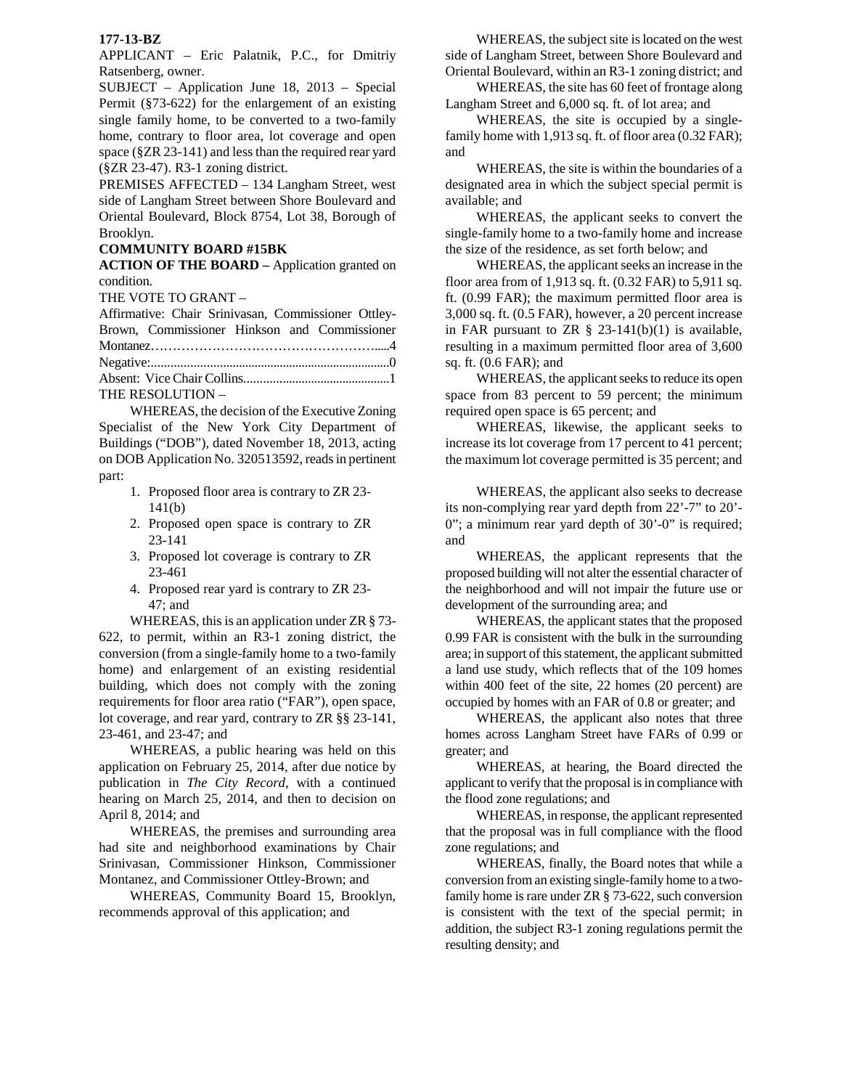## **177-13-BZ**

APPLICANT – Eric Palatnik, P.C., for Dmitriy Ratsenberg, owner.

SUBJECT – Application June 18, 2013 – Special Permit (§73-622) for the enlargement of an existing single family home, to be converted to a two-family home, contrary to floor area, lot coverage and open space (§ZR 23-141) and less than the required rear yard (§ZR 23-47). R3-1 zoning district.

PREMISES AFFECTED – 134 Langham Street, west side of Langham Street between Shore Boulevard and Oriental Boulevard, Block 8754, Lot 38, Borough of Brooklyn.

## **COMMUNITY BOARD #15BK**

**ACTION OF THE BOARD –** Application granted on condition.

THE VOTE TO GRANT –

| Affirmative: Chair Srinivasan, Commissioner Ottley- |  |
|-----------------------------------------------------|--|
| Brown, Commissioner Hinkson and Commissioner        |  |
|                                                     |  |
|                                                     |  |
|                                                     |  |
| $T^{\text{H}}$                                      |  |

THE RESOLUTION –

 WHEREAS, the decision of the Executive Zoning Specialist of the New York City Department of Buildings ("DOB"), dated November 18, 2013, acting on DOB Application No. 320513592, reads in pertinent part:

- 1. Proposed floor area is contrary to ZR 23- 141(b)
- 2. Proposed open space is contrary to ZR 23-141
- 3. Proposed lot coverage is contrary to ZR 23-461
- 4. Proposed rear yard is contrary to ZR 23- 47; and

WHEREAS, this is an application under ZR § 73- 622, to permit, within an R3-1 zoning district, the conversion (from a single-family home to a two-family home) and enlargement of an existing residential building, which does not comply with the zoning requirements for floor area ratio ("FAR"), open space, lot coverage, and rear yard, contrary to ZR §§ 23-141, 23-461, and 23-47; and

WHEREAS, a public hearing was held on this application on February 25, 2014, after due notice by publication in *The City Record*, with a continued hearing on March 25, 2014, and then to decision on April 8, 2014; and

 WHEREAS, the premises and surrounding area had site and neighborhood examinations by Chair Srinivasan, Commissioner Hinkson, Commissioner Montanez, and Commissioner Ottley-Brown; and

 WHEREAS, Community Board 15, Brooklyn, recommends approval of this application; and

 WHEREAS, the subject site is located on the west side of Langham Street, between Shore Boulevard and Oriental Boulevard, within an R3-1 zoning district; and

 WHEREAS, the site has 60 feet of frontage along Langham Street and 6,000 sq. ft. of lot area; and

WHEREAS, the site is occupied by a singlefamily home with 1,913 sq. ft. of floor area (0.32 FAR); and

WHEREAS, the site is within the boundaries of a designated area in which the subject special permit is available; and

 WHEREAS, the applicant seeks to convert the single-family home to a two-family home and increase the size of the residence, as set forth below; and

WHEREAS, the applicant seeks an increase in the floor area from of 1,913 sq. ft. (0.32 FAR) to 5,911 sq. ft. (0.99 FAR); the maximum permitted floor area is 3,000 sq. ft. (0.5 FAR), however, a 20 percent increase in FAR pursuant to ZR  $\S$  23-141(b)(1) is available, resulting in a maximum permitted floor area of 3,600 sq. ft. (0.6 FAR); and

WHEREAS, the applicant seeks to reduce its open space from 83 percent to 59 percent; the minimum required open space is 65 percent; and

WHEREAS, likewise, the applicant seeks to increase its lot coverage from 17 percent to 41 percent; the maximum lot coverage permitted is 35 percent; and

WHEREAS, the applicant also seeks to decrease its non-complying rear yard depth from 22'-7" to 20'- 0"; a minimum rear yard depth of 30'-0" is required; and

WHEREAS, the applicant represents that the proposed building will not alter the essential character of the neighborhood and will not impair the future use or development of the surrounding area; and

WHEREAS, the applicant states that the proposed 0.99 FAR is consistent with the bulk in the surrounding area; in support of this statement, the applicant submitted a land use study, which reflects that of the 109 homes within 400 feet of the site, 22 homes (20 percent) are occupied by homes with an FAR of 0.8 or greater; and

WHEREAS, the applicant also notes that three homes across Langham Street have FARs of 0.99 or greater; and

WHEREAS, at hearing, the Board directed the applicant to verify that the proposal is in compliance with the flood zone regulations; and

WHEREAS, in response, the applicant represented that the proposal was in full compliance with the flood zone regulations; and

WHEREAS, finally, the Board notes that while a conversion from an existing single-family home to a twofamily home is rare under ZR § 73-622, such conversion is consistent with the text of the special permit; in addition, the subject R3-1 zoning regulations permit the resulting density; and